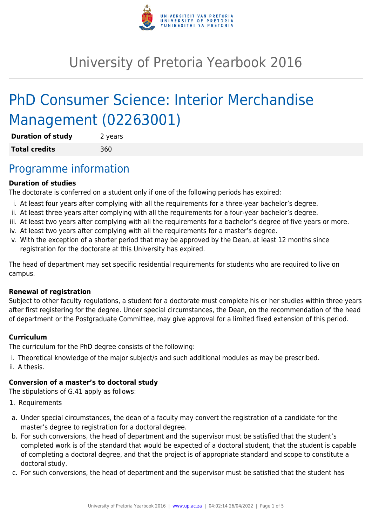

# University of Pretoria Yearbook 2016

# PhD Consumer Science: Interior Merchandise Management (02263001)

| <b>Duration of study</b> | 2 years |
|--------------------------|---------|
| <b>Total credits</b>     | 360     |

### Programme information

#### **Duration of studies**

The doctorate is conferred on a student only if one of the following periods has expired:

- i. At least four years after complying with all the requirements for a three-year bachelor's degree.
- ii. At least three years after complying with all the requirements for a four-year bachelor's degree.
- iii. At least two years after complying with all the requirements for a bachelor's degree of five years or more.
- iv. At least two years after complying with all the requirements for a master's degree.
- v. With the exception of a shorter period that may be approved by the Dean, at least 12 months since registration for the doctorate at this University has expired.

The head of department may set specific residential requirements for students who are required to live on campus.

#### **Renewal of registration**

Subject to other faculty regulations, a student for a doctorate must complete his or her studies within three years after first registering for the degree. Under special circumstances, the Dean, on the recommendation of the head of department or the Postgraduate Committee, may give approval for a limited fixed extension of this period.

#### **Curriculum**

The curriculum for the PhD degree consists of the following:

- i. Theoretical knowledge of the major subject/s and such additional modules as may be prescribed.
- ii. A thesis.

#### **Conversion of a master's to doctoral study**

The stipulations of G.41 apply as follows:

- 1. Requirements
- a. Under special circumstances, the dean of a faculty may convert the registration of a candidate for the master's degree to registration for a doctoral degree.
- b. For such conversions, the head of department and the supervisor must be satisfied that the student's completed work is of the standard that would be expected of a doctoral student, that the student is capable of completing a doctoral degree, and that the project is of appropriate standard and scope to constitute a doctoral study.
- c. For such conversions, the head of department and the supervisor must be satisfied that the student has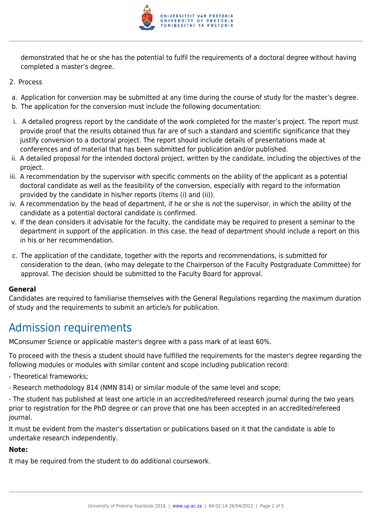

demonstrated that he or she has the potential to fulfil the requirements of a doctoral degree without having completed a master's degree.

- 2. Process
- a. Application for conversion may be submitted at any time during the course of study for the master's degree.
- b. The application for the conversion must include the following documentation:
- i. A detailed progress report by the candidate of the work completed for the master's project. The report must provide proof that the results obtained thus far are of such a standard and scientific significance that they justify conversion to a doctoral project. The report should include details of presentations made at conferences and of material that has been submitted for publication and/or published.
- ii. A detailed proposal for the intended doctoral project, written by the candidate, including the objectives of the project.
- iii. A recommendation by the supervisor with specific comments on the ability of the applicant as a potential doctoral candidate as well as the feasibility of the conversion, especially with regard to the information provided by the candidate in his/her reports (items (i) and (ii)).
- iv. A recommendation by the head of department, if he or she is not the supervisor, in which the ability of the candidate as a potential doctoral candidate is confirmed.
- v. If the dean considers it advisable for the faculty, the candidate may be required to present a seminar to the department in support of the application. In this case, the head of department should include a report on this in his or her recommendation.
- c. The application of the candidate, together with the reports and recommendations, is submitted for consideration to the dean, (who may delegate to the Chairperson of the Faculty Postgraduate Committee) for approval. The decision should be submitted to the Faculty Board for approval.

#### **General**

Candidates are required to familiarise themselves with the General Regulations regarding the maximum duration of study and the requirements to submit an article/s for publication.

# Admission requirements

MConsumer Science or applicable master's degree with a pass mark of at least 60%.

To proceed with the thesis a student should have fulfilled the requirements for the master's degree regarding the following modules or modules with similar content and scope including publication record:

- Theoretical frameworks;
- Research methodology 814 (NMN 814) or similar module of the same level and scope;
- The student has published at least one article in an accredited/refereed research journal during the two years prior to registration for the PhD degree or can prove that one has been accepted in an accredited/refereed journal.

It must be evident from the master's dissertation or publications based on it that the candidate is able to undertake research independently.

#### **Note:**

It may be required from the student to do additional coursework.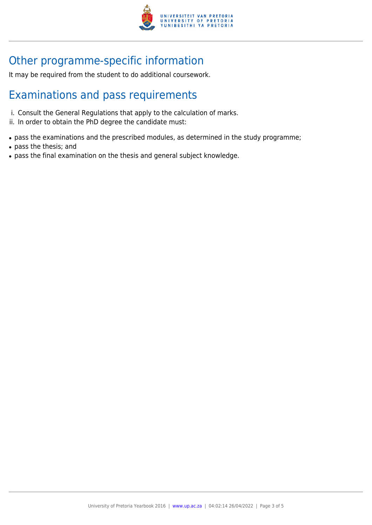

# Other programme-specific information

It may be required from the student to do additional coursework.

### Examinations and pass requirements

- i. Consult the General Regulations that apply to the calculation of marks.
- ii. In order to obtain the PhD degree the candidate must:
- pass the examinations and the prescribed modules, as determined in the study programme;
- pass the thesis; and
- pass the final examination on the thesis and general subject knowledge.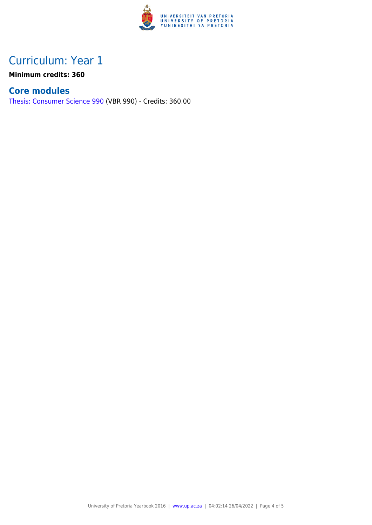

## Curriculum: Year 1

**Minimum credits: 360**

### **Core modules**

[Thesis: Consumer Science 990](https://www.up.ac.za/parents/yearbooks/2016/modules/view/VBR 990) (VBR 990) - Credits: 360.00